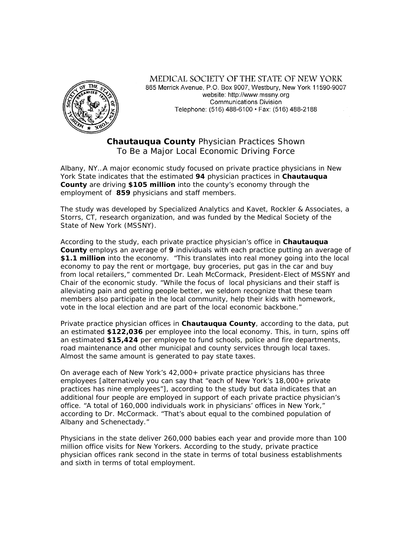

MEDICAL SOCIETY OF THE STATE OF NEW YORK 865 Merrick Avenue, P.O. Box 9007, Westbury, New York 11590-9007 website: http://www.mssnv.org **Communications Division** Telephone: (516) 488-6100 · Fax: (516) 488-2188

**Chautauqua County** Physician Practices Shown To Be a Major Local Economic Driving Force

Albany, NY…A major economic study focused on private practice physicians in New York State indicates that the estimated **94** physician practices in **Chautauqua County** are driving **\$105 million** into the county's economy through the employment of **859** physicians and staff members.

The study was developed by Specialized Analytics and Kavet, Rockler & Associates, a Storrs, CT, research organization, and was funded by the Medical Society of the State of New York (MSSNY).

According to the study, each private practice physician's office in **Chautauqua County** employs an average of **9** individuals with each practice putting an average of **\$1.1 million** into the economy. "This translates into real money going into the local economy to pay the rent or mortgage, buy groceries, put gas in the car and buy from local retailers," commented Dr. Leah McCormack, President-Elect of MSSNY and Chair of the economic study. "While the focus of local physicians and their staff is alleviating pain and getting people better, we seldom recognize that these team members also participate in the local community, help their kids with homework, vote in the local election and are part of the local economic backbone."

Private practice physician offices in **Chautauqua County**, according to the data, put an estimated **\$122,036** per employee into the local economy. This, in turn, spins off an estimated **\$15,424** per employee to fund schools, police and fire departments, road maintenance and other municipal and county services through local taxes. Almost the same amount is generated to pay state taxes.

On average each of New York's 42,000+ private practice physicians has three employees [alternatively you can say that "each of New York's 18,000+ private practices has nine employees"], according to the study but data indicates that an additional four people are employed in support of each private practice physician's office. "A total of 160,000 individuals work in physicians' offices in New York," according to Dr. McCormack. "That's about equal to the combined population of Albany and Schenectady."

Physicians in the state deliver 260,000 babies each year and provide more than 100 million office visits for New Yorkers. According to the study, private practice physician offices rank second in the state in terms of total business establishments and sixth in terms of total employment.